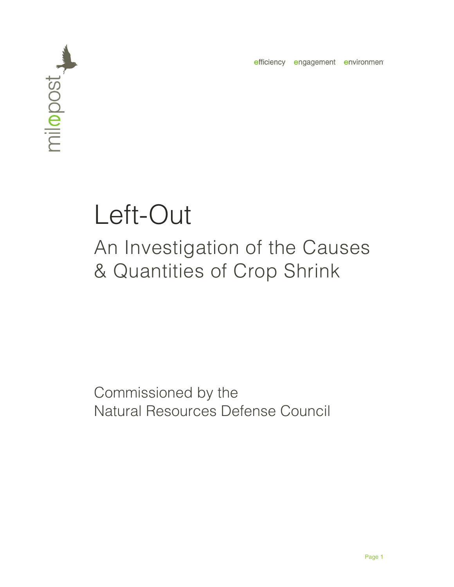

efficiency engagement environment

# Left-Out

# An Investigation of the Causes & Quantities of Crop Shrink

Commissioned by the Natural Resources Defense Council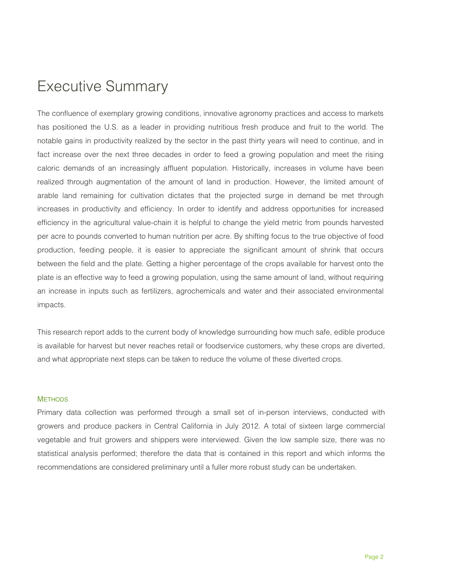# Executive Summary

The confluence of exemplary growing conditions, innovative agronomy practices and access to markets has positioned the U.S. as a leader in providing nutritious fresh produce and fruit to the world. The notable gains in productivity realized by the sector in the past thirty years will need to continue, and in fact increase over the next three decades in order to feed a growing population and meet the rising caloric demands of an increasingly affluent population. Historically, increases in volume have been realized through augmentation of the amount of land in production. However, the limited amount of arable land remaining for cultivation dictates that the projected surge in demand be met through increases in productivity and efficiency. In order to identify and address opportunities for increased efficiency in the agricultural value-chain it is helpful to change the yield metric from pounds harvested per acre to pounds converted to human nutrition per acre. By shifting focus to the true objective of food production, feeding people, it is easier to appreciate the significant amount of shrink that occurs between the field and the plate. Getting a higher percentage of the crops available for harvest onto the plate is an effective way to feed a growing population, using the same amount of land, without requiring an increase in inputs such as fertilizers, agrochemicals and water and their associated environmental impacts.

This research report adds to the current body of knowledge surrounding how much safe, edible produce is available for harvest but never reaches retail or foodservice customers, why these crops are diverted, and what appropriate next steps can be taken to reduce the volume of these diverted crops.

#### **METHODS**

Primary data collection was performed through a small set of in-person interviews, conducted with growers and produce packers in Central California in July 2012. A total of sixteen large commercial vegetable and fruit growers and shippers were interviewed. Given the low sample size, there was no statistical analysis performed; therefore the data that is contained in this report and which informs the recommendations are considered preliminary until a fuller more robust study can be undertaken.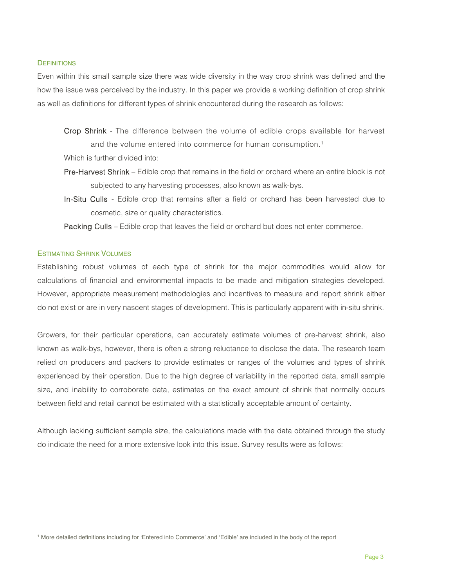#### **DEFINITIONS**

Even within this small sample size there was wide diversity in the way crop shrink was defined and the how the issue was perceived by the industry. In this paper we provide a working definition of crop shrink as well as definitions for different types of shrink encountered during the research as follows:

Crop Shrink - The difference between the volume of edible crops available for harvest and the volume entered into commerce for human consumption.<sup>1</sup>

Which is further divided into:

- Pre-Harvest Shrink Edible crop that remains in the field or orchard where an entire block is not subjected to any harvesting processes, also known as walk-bys.
- In-Situ Culls Edible crop that remains after a field or orchard has been harvested due to cosmetic, size or quality characteristics.

Packing Culls – Edible crop that leaves the field or orchard but does not enter commerce.

#### ESTIMATING SHRINK VOLUMES

 $\overline{a}$ 

Establishing robust volumes of each type of shrink for the major commodities would allow for calculations of financial and environmental impacts to be made and mitigation strategies developed. However, appropriate measurement methodologies and incentives to measure and report shrink either do not exist or are in very nascent stages of development. This is particularly apparent with in-situ shrink.

Growers, for their particular operations, can accurately estimate volumes of pre-harvest shrink, also known as walk-bys, however, there is often a strong reluctance to disclose the data. The research team relied on producers and packers to provide estimates or ranges of the volumes and types of shrink experienced by their operation. Due to the high degree of variability in the reported data, small sample size, and inability to corroborate data, estimates on the exact amount of shrink that normally occurs between field and retail cannot be estimated with a statistically acceptable amount of certainty.

Although lacking sufficient sample size, the calculations made with the data obtained through the study do indicate the need for a more extensive look into this issue. Survey results were as follows:

<sup>1</sup> More detailed definitions including for 'Entered into Commerce' and 'Edible' are included in the body of the report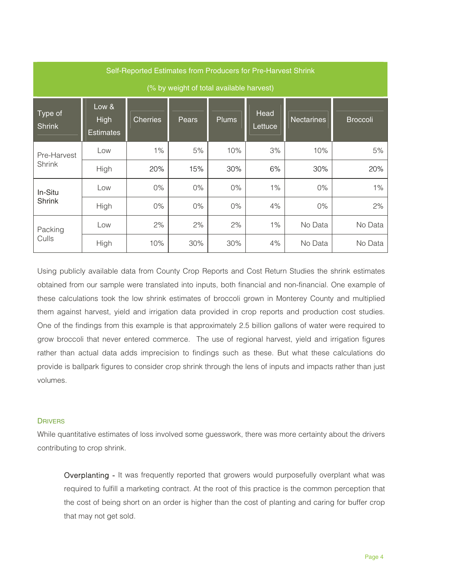| Self-Reported Estimates from Producers for Pre-Harvest Shrink |                                             |                 |       |              |                        |                   |                 |  |
|---------------------------------------------------------------|---------------------------------------------|-----------------|-------|--------------|------------------------|-------------------|-----------------|--|
| (% by weight of total available harvest)                      |                                             |                 |       |              |                        |                   |                 |  |
| Type of<br><b>Shrink</b>                                      | Low $\&$<br><b>High</b><br><b>Estimates</b> | <b>Cherries</b> | Pears | <b>Plums</b> | <b>Head</b><br>Lettuce | <b>Nectarines</b> | <b>Broccoli</b> |  |
| Pre-Harvest                                                   | Low                                         | 1%              | 5%    | 10%          | 3%                     | 10%               | 5%              |  |
| <b>Shrink</b>                                                 | High                                        | 20%             | 15%   | 30%          | 6%                     | 30%               | 20%             |  |
| In-Situ                                                       | Low                                         | 0%              | 0%    | 0%           | 1%                     | $0\%$             | 1%              |  |
| Shrink                                                        | High                                        | $0\%$           | 0%    | 0%           | 4%                     | $0\%$             | 2%              |  |
| Packing                                                       | Low                                         | 2%              | 2%    | 2%           | 1%                     | No Data           | No Data         |  |
| Culls                                                         | High                                        | 10%             | 30%   | 30%          | 4%                     | No Data           | No Data         |  |

Using publicly available data from County Crop Reports and Cost Return Studies the shrink estimates obtained from our sample were translated into inputs, both financial and non-financial. One example of these calculations took the low shrink estimates of broccoli grown in Monterey County and multiplied them against harvest, yield and irrigation data provided in crop reports and production cost studies. One of the findings from this example is that approximately 2.5 billion gallons of water were required to grow broccoli that never entered commerce. The use of regional harvest, yield and irrigation figures rather than actual data adds imprecision to findings such as these. But what these calculations do provide is ballpark figures to consider crop shrink through the lens of inputs and impacts rather than just volumes.

#### **DRIVERS**

While quantitative estimates of loss involved some guesswork, there was more certainty about the drivers contributing to crop shrink.

Overplanting - It was frequently reported that growers would purposefully overplant what was required to fulfill a marketing contract. At the root of this practice is the common perception that the cost of being short on an order is higher than the cost of planting and caring for buffer crop that may not get sold.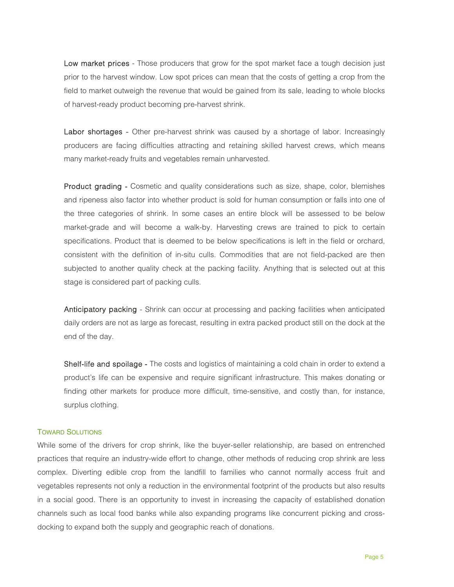Low market prices - Those producers that grow for the spot market face a tough decision just prior to the harvest window. Low spot prices can mean that the costs of getting a crop from the field to market outweigh the revenue that would be gained from its sale, leading to whole blocks of harvest-ready product becoming pre-harvest shrink.

Labor shortages - Other pre-harvest shrink was caused by a shortage of labor. Increasingly producers are facing difficulties attracting and retaining skilled harvest crews, which means many market-ready fruits and vegetables remain unharvested.

Product grading - Cosmetic and quality considerations such as size, shape, color, blemishes and ripeness also factor into whether product is sold for human consumption or falls into one of the three categories of shrink. In some cases an entire block will be assessed to be below market-grade and will become a walk-by. Harvesting crews are trained to pick to certain specifications. Product that is deemed to be below specifications is left in the field or orchard, consistent with the definition of in-situ culls. Commodities that are not field-packed are then subjected to another quality check at the packing facility. Anything that is selected out at this stage is considered part of packing culls.

Anticipatory packing - Shrink can occur at processing and packing facilities when anticipated daily orders are not as large as forecast, resulting in extra packed product still on the dock at the end of the day.

Shelf-life and spoilage - The costs and logistics of maintaining a cold chain in order to extend a product's life can be expensive and require significant infrastructure. This makes donating or finding other markets for produce more difficult, time-sensitive, and costly than, for instance, surplus clothing.

#### TOWARD SOLUTIONS

While some of the drivers for crop shrink, like the buyer-seller relationship, are based on entrenched practices that require an industry-wide effort to change, other methods of reducing crop shrink are less complex. Diverting edible crop from the landfill to families who cannot normally access fruit and vegetables represents not only a reduction in the environmental footprint of the products but also results in a social good. There is an opportunity to invest in increasing the capacity of established donation channels such as local food banks while also expanding programs like concurrent picking and crossdocking to expand both the supply and geographic reach of donations.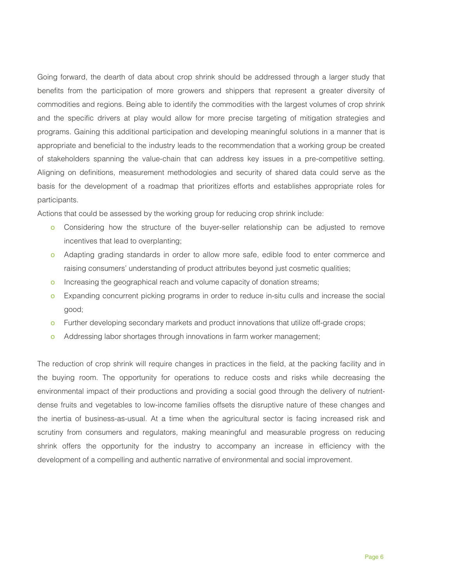Going forward, the dearth of data about crop shrink should be addressed through a larger study that benefits from the participation of more growers and shippers that represent a greater diversity of commodities and regions. Being able to identify the commodities with the largest volumes of crop shrink and the specific drivers at play would allow for more precise targeting of mitigation strategies and programs. Gaining this additional participation and developing meaningful solutions in a manner that is appropriate and beneficial to the industry leads to the recommendation that a working group be created of stakeholders spanning the value-chain that can address key issues in a pre-competitive setting. Aligning on definitions, measurement methodologies and security of shared data could serve as the basis for the development of a roadmap that prioritizes efforts and establishes appropriate roles for participants.

Actions that could be assessed by the working group for reducing crop shrink include:

- o Considering how the structure of the buyer-seller relationship can be adjusted to remove incentives that lead to overplanting;
- o Adapting grading standards in order to allow more safe, edible food to enter commerce and raising consumers' understanding of product attributes beyond just cosmetic qualities;
- o Increasing the geographical reach and volume capacity of donation streams;
- o Expanding concurrent picking programs in order to reduce in-situ culls and increase the social good;
- o Further developing secondary markets and product innovations that utilize off-grade crops;
- o Addressing labor shortages through innovations in farm worker management;

The reduction of crop shrink will require changes in practices in the field, at the packing facility and in the buying room. The opportunity for operations to reduce costs and risks while decreasing the environmental impact of their productions and providing a social good through the delivery of nutrientdense fruits and vegetables to low-income families offsets the disruptive nature of these changes and the inertia of business-as-usual. At a time when the agricultural sector is facing increased risk and scrutiny from consumers and regulators, making meaningful and measurable progress on reducing shrink offers the opportunity for the industry to accompany an increase in efficiency with the development of a compelling and authentic narrative of environmental and social improvement.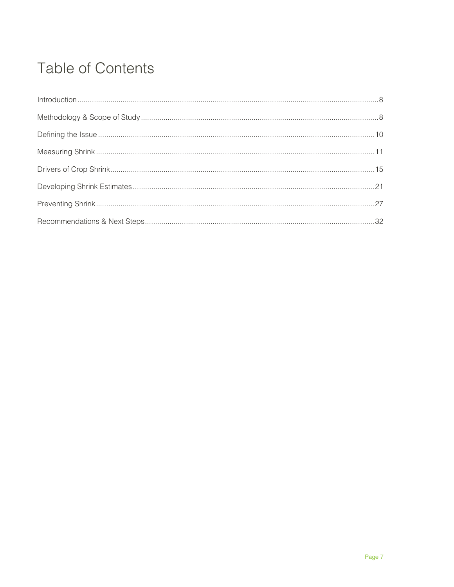# **Table of Contents**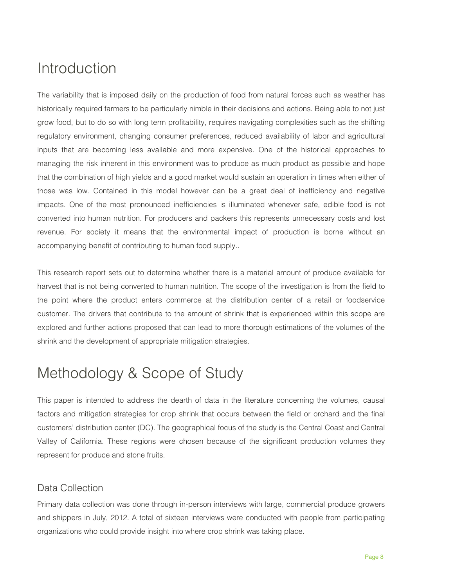# Introduction

The variability that is imposed daily on the production of food from natural forces such as weather has historically required farmers to be particularly nimble in their decisions and actions. Being able to not just grow food, but to do so with long term profitability, requires navigating complexities such as the shifting regulatory environment, changing consumer preferences, reduced availability of labor and agricultural inputs that are becoming less available and more expensive. One of the historical approaches to managing the risk inherent in this environment was to produce as much product as possible and hope that the combination of high yields and a good market would sustain an operation in times when either of those was low. Contained in this model however can be a great deal of inefficiency and negative impacts. One of the most pronounced inefficiencies is illuminated whenever safe, edible food is not converted into human nutrition. For producers and packers this represents unnecessary costs and lost revenue. For society it means that the environmental impact of production is borne without an accompanying benefit of contributing to human food supply..

This research report sets out to determine whether there is a material amount of produce available for harvest that is not being converted to human nutrition. The scope of the investigation is from the field to the point where the product enters commerce at the distribution center of a retail or foodservice customer. The drivers that contribute to the amount of shrink that is experienced within this scope are explored and further actions proposed that can lead to more thorough estimations of the volumes of the shrink and the development of appropriate mitigation strategies.

# Methodology & Scope of Study

This paper is intended to address the dearth of data in the literature concerning the volumes, causal factors and mitigation strategies for crop shrink that occurs between the field or orchard and the final customers' distribution center (DC). The geographical focus of the study is the Central Coast and Central Valley of California. These regions were chosen because of the significant production volumes they represent for produce and stone fruits.

# Data Collection

Primary data collection was done through in-person interviews with large, commercial produce growers and shippers in July, 2012. A total of sixteen interviews were conducted with people from participating organizations who could provide insight into where crop shrink was taking place.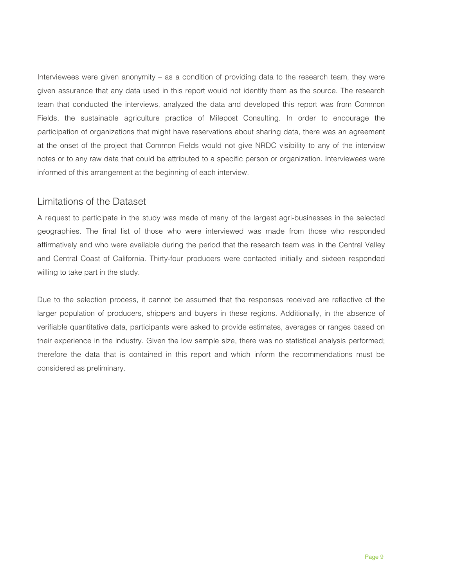Interviewees were given anonymity – as a condition of providing data to the research team, they were given assurance that any data used in this report would not identify them as the source. The research team that conducted the interviews, analyzed the data and developed this report was from Common Fields, the sustainable agriculture practice of Milepost Consulting. In order to encourage the participation of organizations that might have reservations about sharing data, there was an agreement at the onset of the project that Common Fields would not give NRDC visibility to any of the interview notes or to any raw data that could be attributed to a specific person or organization. Interviewees were informed of this arrangement at the beginning of each interview.

### Limitations of the Dataset

A request to participate in the study was made of many of the largest agri-businesses in the selected geographies. The final list of those who were interviewed was made from those who responded affirmatively and who were available during the period that the research team was in the Central Valley and Central Coast of California. Thirty-four producers were contacted initially and sixteen responded willing to take part in the study.

Due to the selection process, it cannot be assumed that the responses received are reflective of the larger population of producers, shippers and buyers in these regions. Additionally, in the absence of verifiable quantitative data, participants were asked to provide estimates, averages or ranges based on their experience in the industry. Given the low sample size, there was no statistical analysis performed; therefore the data that is contained in this report and which inform the recommendations must be considered as preliminary.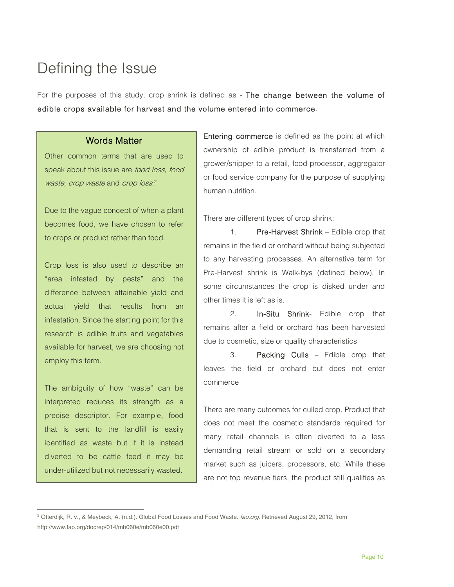# Defining the Issue

For the purposes of this study, crop shrink is defined as - The change between the volume of edible crops available for harvest and the volume entered into commerce.

### Words Matter

Other common terms that are used to speak about this issue are *food loss*, *food* waste, crop waste and crop loss.<sup>2</sup>

Due to the vague concept of when a plant becomes food, we have chosen to refer to crops or product rather than food.

Crop loss is also used to describe an "area infested by pests" and the difference between attainable yield and actual yield that results from an infestation. Since the starting point for this research is edible fruits and vegetables available for harvest, we are choosing not employ this term.

The ambiguity of how "waste" can be interpreted reduces its strength as a precise descriptor. For example, food that is sent to the landfill is easily identified as waste but if it is instead diverted to be cattle feed it may be under-utilized but not necessarily wasted.

Entering commerce is defined as the point at which ownership of edible product is transferred from a grower/shipper to a retail, food processor, aggregator or food service company for the purpose of supplying human nutrition.

There are different types of crop shrink:

1. Pre-Harvest Shrink – Edible crop that remains in the field or orchard without being subjected to any harvesting processes. An alternative term for Pre-Harvest shrink is Walk-bys (defined below). In some circumstances the crop is disked under and other times it is left as is.

2. In-Situ Shrink- Edible crop that remains after a field or orchard has been harvested due to cosmetic, size or quality characteristics

3. Packing Culls – Edible crop that leaves the field or orchard but does not enter commerce

There are many outcomes for culled crop. Product that does not meet the cosmetic standards required for many retail channels is often diverted to a less demanding retail stream or sold on a secondary market such as juicers, processors, etc. While these are not top revenue tiers, the product still qualifies as

 2 Otterdijk, R. v., & Meybeck, A. (n.d.). Global Food Losses and Food Waste. fao.org. Retrieved August 29, 2012, from http://www.fao.org/docrep/014/mb060e/mb060e00.pdf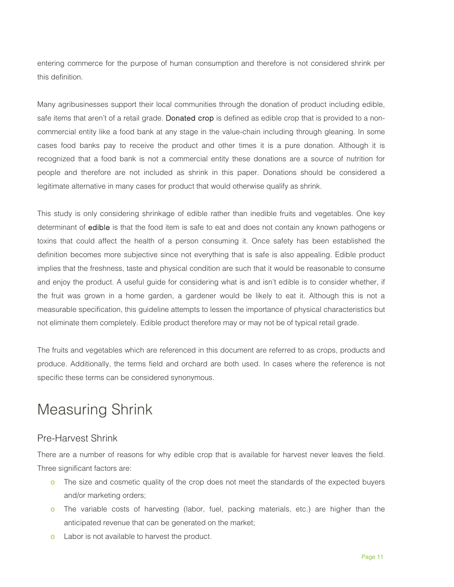entering commerce for the purpose of human consumption and therefore is not considered shrink per this definition.

Many agribusinesses support their local communities through the donation of product including edible, safe items that aren't of a retail grade. Donated crop is defined as edible crop that is provided to a noncommercial entity like a food bank at any stage in the value-chain including through gleaning. In some cases food banks pay to receive the product and other times it is a pure donation. Although it is recognized that a food bank is not a commercial entity these donations are a source of nutrition for people and therefore are not included as shrink in this paper. Donations should be considered a legitimate alternative in many cases for product that would otherwise qualify as shrink.

This study is only considering shrinkage of edible rather than inedible fruits and vegetables. One key determinant of edible is that the food item is safe to eat and does not contain any known pathogens or toxins that could affect the health of a person consuming it. Once safety has been established the definition becomes more subjective since not everything that is safe is also appealing. Edible product implies that the freshness, taste and physical condition are such that it would be reasonable to consume and enjoy the product. A useful guide for considering what is and isn't edible is to consider whether, if the fruit was grown in a home garden, a gardener would be likely to eat it. Although this is not a measurable specification, this guideline attempts to lessen the importance of physical characteristics but not eliminate them completely. Edible product therefore may or may not be of typical retail grade.

The fruits and vegetables which are referenced in this document are referred to as crops, products and produce. Additionally, the terms field and orchard are both used. In cases where the reference is not specific these terms can be considered synonymous.

# Measuring Shrink

### Pre-Harvest Shrink

There are a number of reasons for why edible crop that is available for harvest never leaves the field. Three significant factors are:

- o The size and cosmetic quality of the crop does not meet the standards of the expected buyers and/or marketing orders;
- o The variable costs of harvesting (labor, fuel, packing materials, etc.) are higher than the anticipated revenue that can be generated on the market;
- **o** Labor is not available to harvest the product.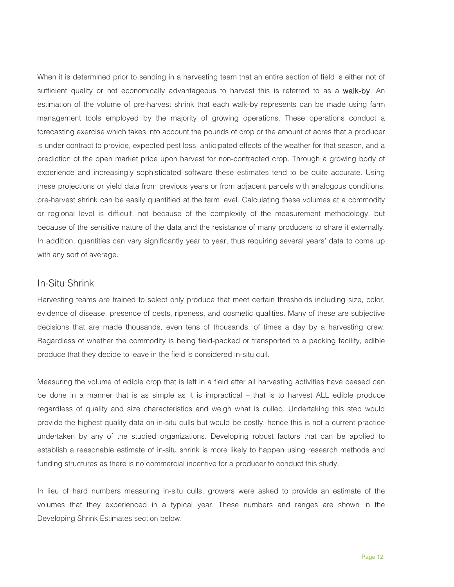When it is determined prior to sending in a harvesting team that an entire section of field is either not of sufficient quality or not economically advantageous to harvest this is referred to as a walk-by. An estimation of the volume of pre-harvest shrink that each walk-by represents can be made using farm management tools employed by the majority of growing operations. These operations conduct a forecasting exercise which takes into account the pounds of crop or the amount of acres that a producer is under contract to provide, expected pest loss, anticipated effects of the weather for that season, and a prediction of the open market price upon harvest for non-contracted crop. Through a growing body of experience and increasingly sophisticated software these estimates tend to be quite accurate. Using these projections or yield data from previous years or from adjacent parcels with analogous conditions, pre-harvest shrink can be easily quantified at the farm level. Calculating these volumes at a commodity or regional level is difficult, not because of the complexity of the measurement methodology, but because of the sensitive nature of the data and the resistance of many producers to share it externally. In addition, quantities can vary significantly year to year, thus requiring several years' data to come up with any sort of average.

### In-Situ Shrink

Harvesting teams are trained to select only produce that meet certain thresholds including size, color, evidence of disease, presence of pests, ripeness, and cosmetic qualities. Many of these are subjective decisions that are made thousands, even tens of thousands, of times a day by a harvesting crew. Regardless of whether the commodity is being field-packed or transported to a packing facility, edible produce that they decide to leave in the field is considered in-situ cull.

Measuring the volume of edible crop that is left in a field after all harvesting activities have ceased can be done in a manner that is as simple as it is impractical – that is to harvest ALL edible produce regardless of quality and size characteristics and weigh what is culled. Undertaking this step would provide the highest quality data on in-situ culls but would be costly, hence this is not a current practice undertaken by any of the studied organizations. Developing robust factors that can be applied to establish a reasonable estimate of in-situ shrink is more likely to happen using research methods and funding structures as there is no commercial incentive for a producer to conduct this study.

In lieu of hard numbers measuring in-situ culls, growers were asked to provide an estimate of the volumes that they experienced in a typical year. These numbers and ranges are shown in the Developing Shrink Estimates section below.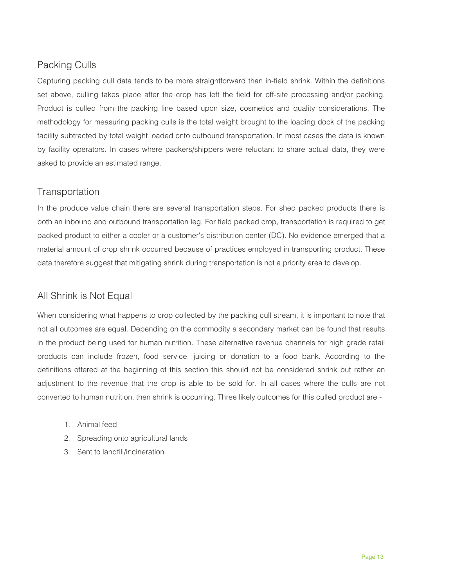# Packing Culls

Capturing packing cull data tends to be more straightforward than in-field shrink. Within the definitions set above, culling takes place after the crop has left the field for off-site processing and/or packing. Product is culled from the packing line based upon size, cosmetics and quality considerations. The methodology for measuring packing culls is the total weight brought to the loading dock of the packing facility subtracted by total weight loaded onto outbound transportation. In most cases the data is known by facility operators. In cases where packers/shippers were reluctant to share actual data, they were asked to provide an estimated range.

# **Transportation**

In the produce value chain there are several transportation steps. For shed packed products there is both an inbound and outbound transportation leg. For field packed crop, transportation is required to get packed product to either a cooler or a customer's distribution center (DC). No evidence emerged that a material amount of crop shrink occurred because of practices employed in transporting product. These data therefore suggest that mitigating shrink during transportation is not a priority area to develop.

# All Shrink is Not Equal

When considering what happens to crop collected by the packing cull stream, it is important to note that not all outcomes are equal. Depending on the commodity a secondary market can be found that results in the product being used for human nutrition. These alternative revenue channels for high grade retail products can include frozen, food service, juicing or donation to a food bank. According to the definitions offered at the beginning of this section this should not be considered shrink but rather an adjustment to the revenue that the crop is able to be sold for. In all cases where the culls are not converted to human nutrition, then shrink is occurring. Three likely outcomes for this culled product are -

- 1. Animal feed
- 2. Spreading onto agricultural lands
- 3. Sent to landfill/incineration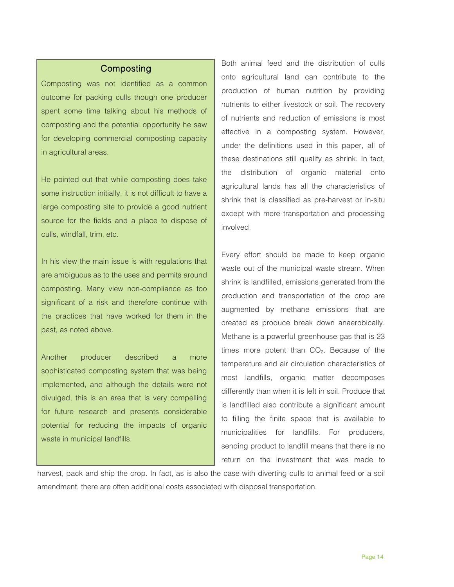#### Composting

Composting was not identified as a common outcome for packing culls though one producer spent some time talking about his methods of composting and the potential opportunity he saw for developing commercial composting capacity in agricultural areas.

He pointed out that while composting does take some instruction initially, it is not difficult to have a large composting site to provide a good nutrient source for the fields and a place to dispose of culls, windfall, trim, etc.

In his view the main issue is with regulations that are ambiguous as to the uses and permits around composting. Many view non-compliance as too significant of a risk and therefore continue with the practices that have worked for them in the past, as noted above.

Another producer described a more sophisticated composting system that was being implemented, and although the details were not divulged, this is an area that is very compelling for future research and presents considerable potential for reducing the impacts of organic waste in municipal landfills.

Both animal feed and the distribution of culls onto agricultural land can contribute to the production of human nutrition by providing nutrients to either livestock or soil. The recovery of nutrients and reduction of emissions is most effective in a composting system. However, under the definitions used in this paper, all of these destinations still qualify as shrink. In fact, the distribution of organic material onto agricultural lands has all the characteristics of shrink that is classified as pre-harvest or in-situ except with more transportation and processing involved.

Every effort should be made to keep organic waste out of the municipal waste stream. When shrink is landfilled, emissions generated from the production and transportation of the crop are augmented by methane emissions that are created as produce break down anaerobically. Methane is a powerful greenhouse gas that is 23 times more potent than CO<sub>2</sub>. Because of the temperature and air circulation characteristics of most landfills, organic matter decomposes differently than when it is left in soil. Produce that is landfilled also contribute a significant amount to filling the finite space that is available to municipalities for landfills. For producers, sending product to landfill means that there is no return on the investment that was made to

harvest, pack and ship the crop. In fact, as is also the case with diverting culls to animal feed or a soil amendment, there are often additional costs associated with disposal transportation.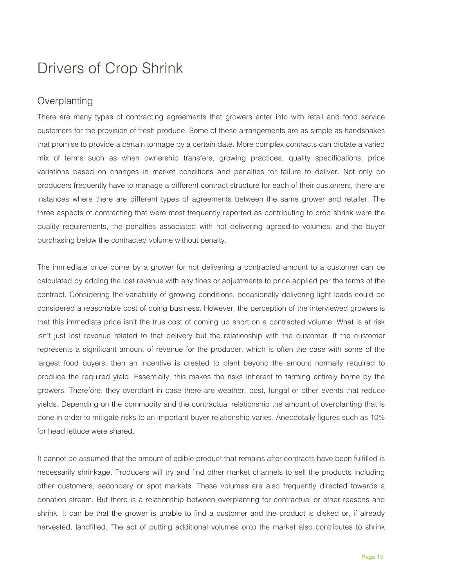# Drivers of Crop Shrink

# **Overplanting**

There are many types of contracting agreements that growers enter into with retail and food service customers for the provision of fresh produce. Some of these arrangements are as simple as handshakes that promise to provide a certain tonnage by a certain date. More complex contracts can dictate a varied mix of terms such as when ownership transfers, growing practices, quality specifications, price variations based on changes in market conditions and penalties for failure to deliver. Not only do producers frequently have to manage a different contract structure for each of their customers, there are instances where there are different types of agreements between the same grower and retailer. The three aspects of contracting that were most frequently reported as contributing to crop shrink were the quality requirements, the penalties associated with not delivering agreed-to volumes, and the buyer purchasing below the contracted volume without penalty.

The immediate price borne by a grower for not delivering a contracted amount to a customer can be calculated by adding the lost revenue with any fines or adjustments to price applied per the terms of the contract. Considering the variability of growing conditions, occasionally delivering light loads could be considered a reasonable cost of doing business. However, the perception of the interviewed growers is that this immediate price isn't the true cost of coming up short on a contracted volume. What is at risk isn't just lost revenue related to that delivery but the relationship with the customer. If the customer represents a significant amount of revenue for the producer, which is often the case with some of the largest food buyers, then an incentive is created to plant beyond the amount normally required to produce the required yield. Essentially, this makes the risks inherent to farming entirely borne by the growers. Therefore, they overplant in case there are weather, pest, fungal or other events that reduce yields. Depending on the commodity and the contractual relationship the amount of overplanting that is done in order to mitigate risks to an important buyer relationship varies. Anecdotally figures such as 10% for head lettuce were shared.

It cannot be assumed that the amount of edible product that remains after contracts have been fulfilled is necessarily shrinkage. Producers will try and find other market channels to sell the products including other customers, secondary or spot markets. These volumes are also frequently directed towards a donation stream. But there is a relationship between overplanting for contractual or other reasons and shrink. It can be that the grower is unable to find a customer and the product is disked or, if already harvested, landfilled. The act of putting additional volumes onto the market also contributes to shrink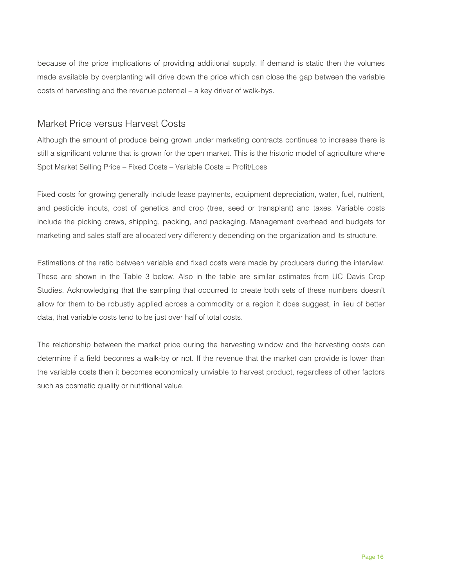because of the price implications of providing additional supply. If demand is static then the volumes made available by overplanting will drive down the price which can close the gap between the variable costs of harvesting and the revenue potential – a key driver of walk-bys.

# Market Price versus Harvest Costs

Although the amount of produce being grown under marketing contracts continues to increase there is still a significant volume that is grown for the open market. This is the historic model of agriculture where Spot Market Selling Price – Fixed Costs – Variable Costs = Profit/Loss

Fixed costs for growing generally include lease payments, equipment depreciation, water, fuel, nutrient, and pesticide inputs, cost of genetics and crop (tree, seed or transplant) and taxes. Variable costs include the picking crews, shipping, packing, and packaging. Management overhead and budgets for marketing and sales staff are allocated very differently depending on the organization and its structure.

Estimations of the ratio between variable and fixed costs were made by producers during the interview. These are shown in the Table 3 below. Also in the table are similar estimates from UC Davis Crop Studies. Acknowledging that the sampling that occurred to create both sets of these numbers doesn't allow for them to be robustly applied across a commodity or a region it does suggest, in lieu of better data, that variable costs tend to be just over half of total costs.

The relationship between the market price during the harvesting window and the harvesting costs can determine if a field becomes a walk-by or not. If the revenue that the market can provide is lower than the variable costs then it becomes economically unviable to harvest product, regardless of other factors such as cosmetic quality or nutritional value.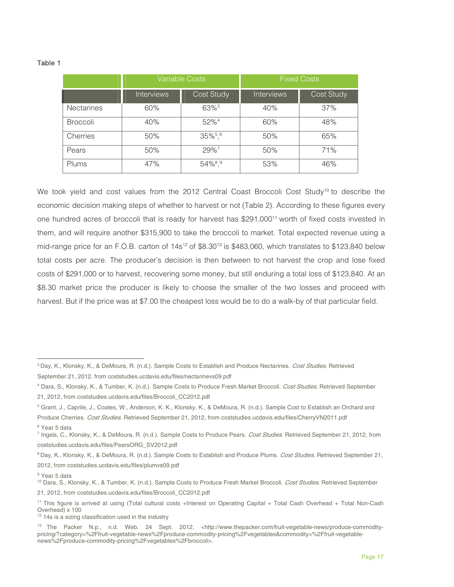#### Table 1

|                   |                   | <b>Variable Costs</b> | <b>Fixed Costs</b> |                   |  |
|-------------------|-------------------|-----------------------|--------------------|-------------------|--|
|                   | <b>Interviews</b> | <b>Cost Study</b>     | <b>Interviews</b>  | <b>Cost Study</b> |  |
| <b>Nectarines</b> | 60%               | 63% <sup>3</sup>      | 40%                | 37%               |  |
| <b>Broccoli</b>   | 40%               | 52% <sup>4</sup>      | 60%                | 48%               |  |
| Cherries          | 50%               | 35%5,6                | 50%                | 65%               |  |
| Pears             | 50%               | 29%7                  | 50%                | 71%               |  |
| Plums             | 47%               | 54%8.9                | 53%                | 46%               |  |

We took yield and cost values from the 2012 Central Coast Broccoli Cost Study<sup>10</sup> to describe the economic decision making steps of whether to harvest or not (Table 2). According to these figures every one hundred acres of broccoli that is ready for harvest has \$291,000<sup>11</sup> worth of fixed costs invested in them, and will require another \$315,900 to take the broccoli to market. Total expected revenue using a mid-range price for an F.O.B. carton of  $14s^{12}$  of \$8.30<sup>13</sup> is \$483,060, which translates to \$123,840 below total costs per acre. The producer's decision is then between to not harvest the crop and lose fixed costs of \$291,000 or to harvest, recovering some money, but still enduring a total loss of \$123,840. At an \$8.30 market price the producer is likely to choose the smaller of the two losses and proceed with harvest. But if the price was at \$7.00 the cheapest loss would be to do a walk-by of that particular field.

 $\overline{a}$ 

<sup>&</sup>lt;sup>3</sup> Day, K., Klonsky, K., & DeMoura, R. (n.d.). Sample Costs to Establish and Produce Nectarines. Cost Studies. Retrieved September 21, 2012, from coststudies.ucdavis.edu/files/nectarinevs09.pdf

<sup>&</sup>lt;sup>4</sup> Dara, S., Klonsky, K., & Tumber, K. (n.d.). Sample Costs to Produce Fresh Market Broccoli. *Cost Studies*. Retrieved September 21, 2012, from coststudies.ucdavis.edu/files/Broccoli\_CC2012.pdf

<sup>5</sup> Grant, J., Caprile, J., Coates, W., Anderson, K. K., Klonsky, K., & DeMoura, R. (n.d.). Sample Cost to Establish an Orchard and Produce Cherries. Cost Studies. Retrieved September 21, 2012, from coststudies.ucdavis.edu/files/CherryVN2011.pdf

<sup>6</sup> Year 5 data

<sup>&</sup>lt;sup>7</sup> Ingels, C., Klonsky, K., & DeMoura, R. (n.d.). Sample Costs to Produce Pears. *Cost Studies*. Retrieved September 21, 2012, from coststudies.ucdavis.edu/files/PearsORG\_SV2012.pdf

<sup>&</sup>lt;sup>8</sup> Day, K., Klonsky, K., & DeMoura, R. (n.d.). Sample Costs to Establish and Produce Plums. Cost Studies. Retrieved September 21, 2012, from coststudies.ucdavis.edu/files/plumvs09.pdf

<sup>&</sup>lt;sup>9</sup> Year 5 data

<sup>&</sup>lt;sup>10</sup> Dara, S., Klonsky, K., & Tumber, K. (n.d.). Sample Costs to Produce Fresh Market Broccoli. Cost Studies. Retrieved September 21, 2012, from coststudies.ucdavis.edu/files/Broccoli\_CC2012.pdf

<sup>&</sup>lt;sup>11</sup> This figure is arrived at using (Total cultural costs +Interest on Operating Capital + Total Cash Overhead + Total Non-Cash Overhead) x 100

<sup>&</sup>lt;sup>12</sup> 14s is a sizing classification used in the industry

<sup>&</sup>lt;sup>13</sup> The Packer N.p., n.d. Web. 24 Sept. 2012. <http://www.thepacker.com/fruit-vegetable-news/produce-commoditypricing/?category=%2Ffruit-vegetable-news%2Fproduce-commodity-pricing%2Fvegetables&commodity=%2Ffruit-vegetablenews%2Fproduce-commodity-pricing%2Fvegetables%2Fbroccoli>.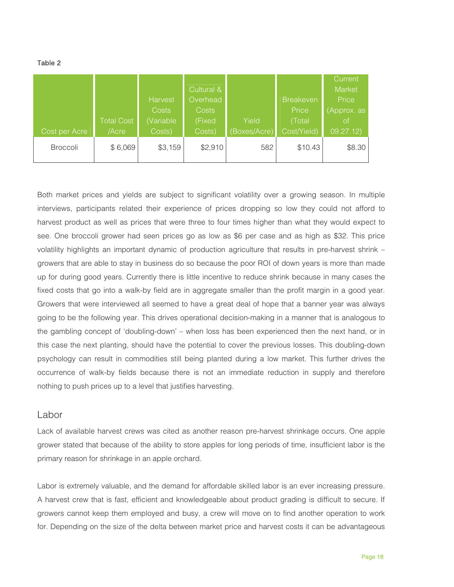Table 2

|                 | <b>Total Cost</b> | Harvest<br><b>Costs</b><br>(Variable | Cultural &<br>Overhead<br><b>Costs</b><br>(Fixed | Yield        | <b>Breakeven</b><br>Price<br>(Total | Current<br>Market<br>Price<br>(Approx. as<br>Οf |
|-----------------|-------------------|--------------------------------------|--------------------------------------------------|--------------|-------------------------------------|-------------------------------------------------|
| Cost per Acre   | /Acre             | Costs)                               | Costs)                                           | (Boxes/Acre) | Cost/Yield)                         | 09.27.12)                                       |
| <b>Broccoli</b> | \$6,069           | \$3,159                              | \$2,910                                          | 582          | \$10.43                             | \$8.30                                          |

Both market prices and yields are subject to significant volatility over a growing season. In multiple interviews, participants related their experience of prices dropping so low they could not afford to harvest product as well as prices that were three to four times higher than what they would expect to see. One broccoli grower had seen prices go as low as \$6 per case and as high as \$32. This price volatility highlights an important dynamic of production agriculture that results in pre-harvest shrink – growers that are able to stay in business do so because the poor ROI of down years is more than made up for during good years. Currently there is little incentive to reduce shrink because in many cases the fixed costs that go into a walk-by field are in aggregate smaller than the profit margin in a good year. Growers that were interviewed all seemed to have a great deal of hope that a banner year was always going to be the following year. This drives operational decision-making in a manner that is analogous to the gambling concept of 'doubling-down' – when loss has been experienced then the next hand, or in this case the next planting, should have the potential to cover the previous losses. This doubling-down psychology can result in commodities still being planted during a low market. This further drives the occurrence of walk-by fields because there is not an immediate reduction in supply and therefore nothing to push prices up to a level that justifies harvesting.

#### Labor

Lack of available harvest crews was cited as another reason pre-harvest shrinkage occurs. One apple grower stated that because of the ability to store apples for long periods of time, insufficient labor is the primary reason for shrinkage in an apple orchard.

Labor is extremely valuable, and the demand for affordable skilled labor is an ever increasing pressure. A harvest crew that is fast, efficient and knowledgeable about product grading is difficult to secure. If growers cannot keep them employed and busy, a crew will move on to find another operation to work for. Depending on the size of the delta between market price and harvest costs it can be advantageous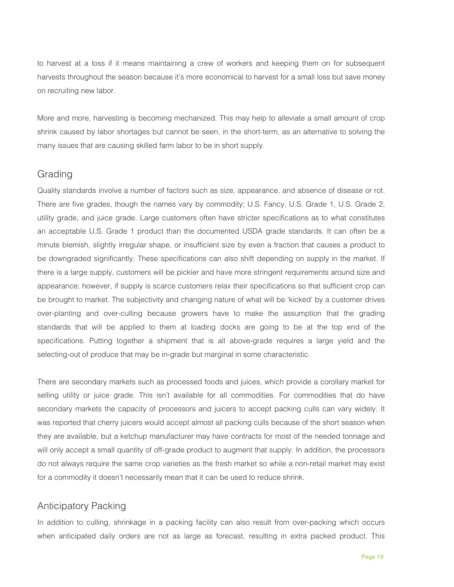to harvest at a loss if it means maintaining a crew of workers and keeping them on for subsequent harvests throughout the season because it's more economical to harvest for a small loss but save money on recruiting new labor.

More and more, harvesting is becoming mechanized. This may help to alleviate a small amount of crop shrink caused by labor shortages but cannot be seen, in the short-term, as an alternative to solving the many issues that are causing skilled farm labor to be in short supply.

### Grading

Quality standards involve a number of factors such as size, appearance, and absence of disease or rot. There are five grades, though the names vary by commodity; U.S. Fancy, U.S. Grade 1, U.S. Grade 2, utility grade, and juice grade. Large customers often have stricter specifications as to what constitutes an acceptable U.S. Grade 1 product than the documented USDA grade standards. It can often be a minute blemish, slightly irregular shape, or insufficient size by even a fraction that causes a product to be downgraded significantly. These specifications can also shift depending on supply in the market. If there is a large supply, customers will be pickier and have more stringent requirements around size and appearance; however, if supply is scarce customers relax their specifications so that sufficient crop can be brought to market. The subjectivity and changing nature of what will be 'kicked' by a customer drives over-planting and over-culling because growers have to make the assumption that the grading standards that will be applied to them at loading docks are going to be at the top end of the specifications. Putting together a shipment that is all above-grade requires a large yield and the selecting-out of produce that may be in-grade but marginal in some characteristic.

There are secondary markets such as processed foods and juices, which provide a corollary market for selling utility or juice grade. This isn't available for all commodities. For commodities that do have secondary markets the capacity of processors and juicers to accept packing culls can vary widely. It was reported that cherry juicers would accept almost all packing culls because of the short season when they are available, but a ketchup manufacturer may have contracts for most of the needed tonnage and will only accept a small quantity of off-grade product to augment that supply. In addition, the processors do not always require the same crop varieties as the fresh market so while a non-retail market may exist for a commodity it doesn't necessarily mean that it can be used to reduce shrink.

# Anticipatory Packing

In addition to culling, shrinkage in a packing facility can also result from over-packing which occurs when anticipated daily orders are not as large as forecast, resulting in extra packed product. This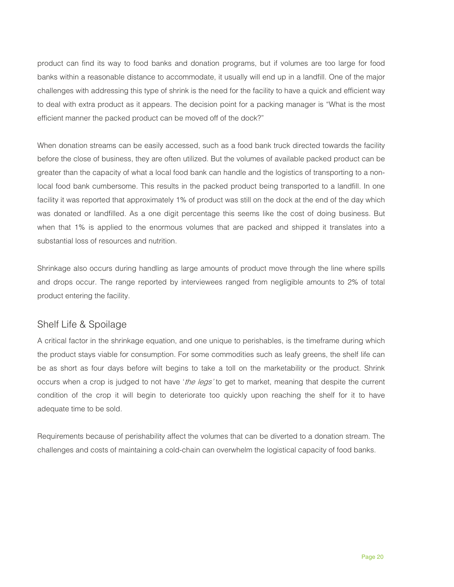product can find its way to food banks and donation programs, but if volumes are too large for food banks within a reasonable distance to accommodate, it usually will end up in a landfill. One of the major challenges with addressing this type of shrink is the need for the facility to have a quick and efficient way to deal with extra product as it appears. The decision point for a packing manager is "What is the most efficient manner the packed product can be moved off of the dock?"

When donation streams can be easily accessed, such as a food bank truck directed towards the facility before the close of business, they are often utilized. But the volumes of available packed product can be greater than the capacity of what a local food bank can handle and the logistics of transporting to a nonlocal food bank cumbersome. This results in the packed product being transported to a landfill. In one facility it was reported that approximately 1% of product was still on the dock at the end of the day which was donated or landfilled. As a one digit percentage this seems like the cost of doing business. But when that 1% is applied to the enormous volumes that are packed and shipped it translates into a substantial loss of resources and nutrition.

Shrinkage also occurs during handling as large amounts of product move through the line where spills and drops occur. The range reported by interviewees ranged from negligible amounts to 2% of total product entering the facility.

# Shelf Life & Spoilage

A critical factor in the shrinkage equation, and one unique to perishables, is the timeframe during which the product stays viable for consumption. For some commodities such as leafy greens, the shelf life can be as short as four days before wilt begins to take a toll on the marketability or the product. Shrink occurs when a crop is judged to not have 'the legs' to get to market, meaning that despite the current condition of the crop it will begin to deteriorate too quickly upon reaching the shelf for it to have adequate time to be sold.

Requirements because of perishability affect the volumes that can be diverted to a donation stream. The challenges and costs of maintaining a cold-chain can overwhelm the logistical capacity of food banks.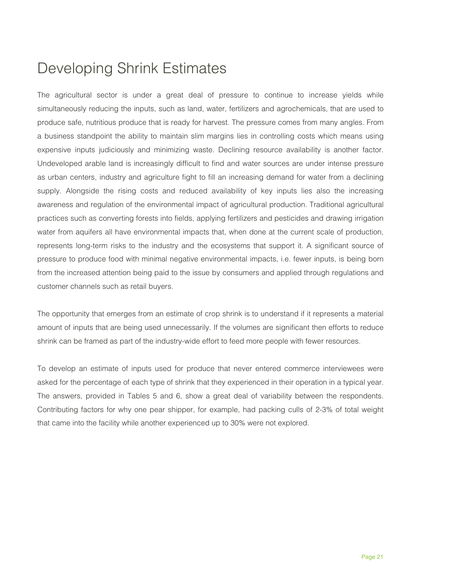# Developing Shrink Estimates

The agricultural sector is under a great deal of pressure to continue to increase yields while simultaneously reducing the inputs, such as land, water, fertilizers and agrochemicals, that are used to produce safe, nutritious produce that is ready for harvest. The pressure comes from many angles. From a business standpoint the ability to maintain slim margins lies in controlling costs which means using expensive inputs judiciously and minimizing waste. Declining resource availability is another factor. Undeveloped arable land is increasingly difficult to find and water sources are under intense pressure as urban centers, industry and agriculture fight to fill an increasing demand for water from a declining supply. Alongside the rising costs and reduced availability of key inputs lies also the increasing awareness and regulation of the environmental impact of agricultural production. Traditional agricultural practices such as converting forests into fields, applying fertilizers and pesticides and drawing irrigation water from aquifers all have environmental impacts that, when done at the current scale of production, represents long-term risks to the industry and the ecosystems that support it. A significant source of pressure to produce food with minimal negative environmental impacts, i.e. fewer inputs, is being born from the increased attention being paid to the issue by consumers and applied through regulations and customer channels such as retail buyers.

The opportunity that emerges from an estimate of crop shrink is to understand if it represents a material amount of inputs that are being used unnecessarily. If the volumes are significant then efforts to reduce shrink can be framed as part of the industry-wide effort to feed more people with fewer resources.

To develop an estimate of inputs used for produce that never entered commerce interviewees were asked for the percentage of each type of shrink that they experienced in their operation in a typical year. The answers, provided in Tables 5 and 6, show a great deal of variability between the respondents. Contributing factors for why one pear shipper, for example, had packing culls of 2-3% of total weight that came into the facility while another experienced up to 30% were not explored.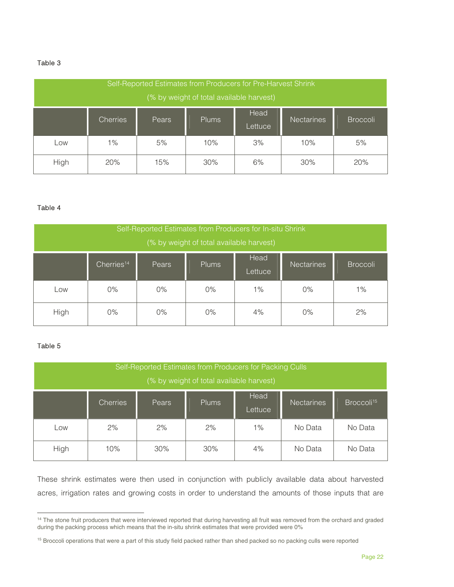#### Table 3

| Self-Reported Estimates from Producers for Pre-Harvest Shrink<br>(% by weight of total available harvest) |                 |       |              |                 |                   |                 |
|-----------------------------------------------------------------------------------------------------------|-----------------|-------|--------------|-----------------|-------------------|-----------------|
|                                                                                                           | <b>Cherries</b> | Pears | <b>Plums</b> | Head<br>Lettuce | <b>Nectarines</b> | <b>Broccoli</b> |
| Low                                                                                                       | $1\%$           | 5%    | 10%          | 3%              | 10%               | 5%              |
| High                                                                                                      | 20%             | 15%   | $30\%$       | 6%              | 30%               | 20%             |

#### Table 4

| Self-Reported Estimates from Producers for In-situ Shrink<br>(% by weight of total available harvest) |                        |       |              |                 |                   |                 |
|-------------------------------------------------------------------------------------------------------|------------------------|-------|--------------|-----------------|-------------------|-----------------|
|                                                                                                       | Cherries <sup>14</sup> | Pears | <b>Plums</b> | Head<br>Lettuce | <b>Nectarines</b> | <b>Broccoli</b> |
| Low                                                                                                   | $0\%$                  | $0\%$ | $0\%$        | $1\%$           | $0\%$             | 1%              |
| High                                                                                                  | $0\%$                  | $0\%$ | $0\%$        | 4%              | $0\%$             | 2%              |

#### Table 5

1

| Self-Reported Estimates from Producers for Packing Culls<br>(% by weight of total available harvest) |                 |       |       |                 |                   |                        |
|------------------------------------------------------------------------------------------------------|-----------------|-------|-------|-----------------|-------------------|------------------------|
|                                                                                                      | <b>Cherries</b> | Pears | Plums | Head<br>Lettuce | <b>Nectarines</b> | Broccoli <sup>15</sup> |
| Low                                                                                                  | 2%              | 2%    | 2%    | $1\%$           | No Data           | No Data                |
| High                                                                                                 | 10%             | 30%   | 30%   | 4%              | No Data           | No Data                |

These shrink estimates were then used in conjunction with publicly available data about harvested acres, irrigation rates and growing costs in order to understand the amounts of those inputs that are

<sup>&</sup>lt;sup>14</sup> The stone fruit producers that were interviewed reported that during harvesting all fruit was removed from the orchard and graded during the packing process which means that the in-situ shrink estimates that were provided were 0%

<sup>&</sup>lt;sup>15</sup> Broccoli operations that were a part of this study field packed rather than shed packed so no packing culls were reported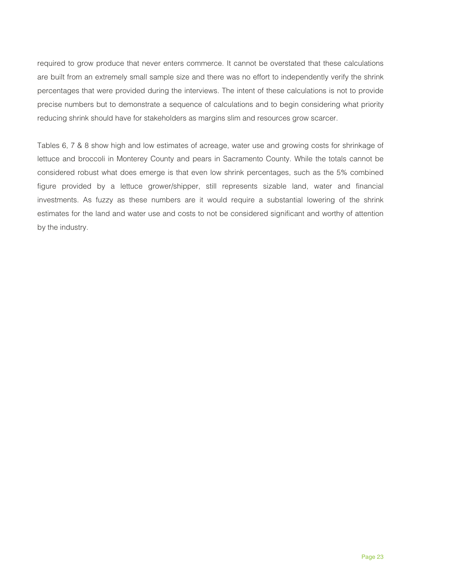required to grow produce that never enters commerce. It cannot be overstated that these calculations are built from an extremely small sample size and there was no effort to independently verify the shrink percentages that were provided during the interviews. The intent of these calculations is not to provide precise numbers but to demonstrate a sequence of calculations and to begin considering what priority reducing shrink should have for stakeholders as margins slim and resources grow scarcer.

Tables 6, 7 & 8 show high and low estimates of acreage, water use and growing costs for shrinkage of lettuce and broccoli in Monterey County and pears in Sacramento County. While the totals cannot be considered robust what does emerge is that even low shrink percentages, such as the 5% combined figure provided by a lettuce grower/shipper, still represents sizable land, water and financial investments. As fuzzy as these numbers are it would require a substantial lowering of the shrink estimates for the land and water use and costs to not be considered significant and worthy of attention by the industry.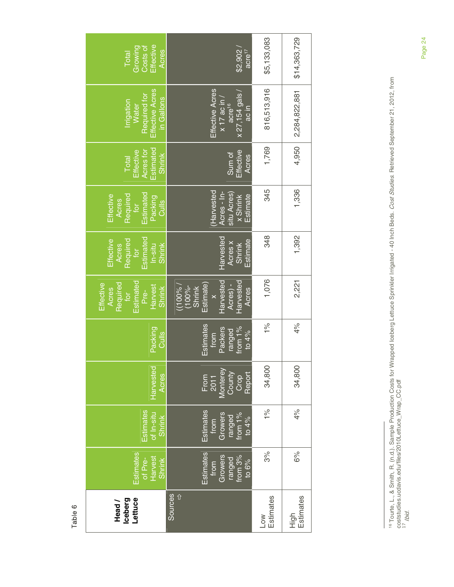| Effective<br>Growing<br>Costs of<br>Acres<br>Total                                                | \$2,902<br>acre <sup>17</sup>                                                                  | \$5,133,083      | \$14,363,729      |
|---------------------------------------------------------------------------------------------------|------------------------------------------------------------------------------------------------|------------------|-------------------|
| Effective Acres<br>Required for<br>in Gallons<br>rrigation<br><b>Water</b>                        | Effective Acres<br>$\times$ 27, 154 gals /<br>$x$ 17 ac in<br>acre <sup>16</sup><br>ac in      | 816,513,916      | 2,284,822,881     |
| Estimated<br>Effective<br>Acres for<br><b>Shrink</b><br>Total                                     | Effective<br>Sum of<br>Acres                                                                   | 1,769            | 4,950             |
| Estimatec<br>Required<br>Effective<br>Packing<br>Acres<br>Culls<br>for                            | Harvested<br>Acres - In-<br>situ Acres)<br>Estimate<br><b>x Shrink</b>                         | 345              | 1,336             |
| Estimated<br>Effective<br>Required<br>$In-situ$<br><b>Shrink</b><br>Acres<br>for                  | Harvested<br>Estimate<br>Acres x<br>Shrink                                                     | 348              | 1,392             |
| Estimated<br>Effective<br>Required<br>Harvest<br>Acres<br><b>Shrink</b><br>p <sub>re</sub><br>for | Harvested<br>Harvested<br>Estimate)<br>Acres) -<br>$(100\% / 100\%)$<br>Shrink<br><b>Acres</b> | 1,076            | 2,221             |
| Packing<br>Culls                                                                                  | Estimates<br>from $1\frac{9}{6}$<br>Packers<br>ranged<br>to $4\%$<br>from                      | $1\%$            | 4%                |
| Harvested<br>Acres                                                                                | From<br>2011<br>Monterey<br>County<br>Crop<br>Report                                           | 34,800           | 34,800            |
| Estimates<br>of In-situ<br>Shrink                                                                 | Estimates<br>from<br>Growers<br>ranged<br>from $1\%$<br>to $4\%$                               | $\frac{5}{6}$    | 4%                |
| Estimates<br>of Pre-<br>Harvest<br><b>Shrink</b>                                                  | Estimates<br>Growers<br>ranged<br>from 3%<br>to $6\%$<br>from                                  | 3%               | 6%                |
| Iceberg<br>Lettuce<br>Head/                                                                       | Sources<br>⇧                                                                                   | Estimates<br>Low | Estimates<br>High |

Table 6

Table 6

<sup>&</sup>lt;sup>16</sup> Tourte, L., & Smith, R. (n.d.). Sample Production Costs for Wrapped Iceberg Lettuce Sprinkler Irrigated - 40 Inch Beds. Cost Studies. Retrieved September 21, 2012, from coststudies.ucdavis.edu/files/2010Lettuce\_Wrap\_CC.pdf <sup>16</sup> Tourte, L., & Smith, R. (n.d.). Sample Production Costs for Wrapped Iceberg Lettuce Sprinkler Irrigated - 40 Inch Beds. *Cost Studies.* Retrieved September 21, 2012, from<br>coststudies.ucdavis.edu/files/2010Lettuce\_Wrap

Page 24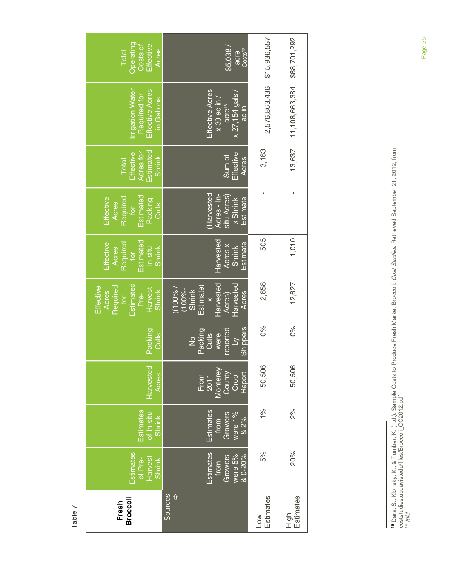| Operating<br>Costs of<br>Effective<br>Acres<br>Total                                   | \$5,038<br>Costs <sup>19</sup><br>acre                                                       | \$15,936,557     | \$68,701,292      |
|----------------------------------------------------------------------------------------|----------------------------------------------------------------------------------------------|------------------|-------------------|
| Effective Acres<br>rrigation Water<br>Required for<br>in Gallons                       | Effective Acres<br>$x 27,154$ gals<br>$x$ 30 ac in<br>acre <sup>18</sup><br>ac in            | 2,576,863,436    | 11,108,663,384    |
| Estimated<br>Acres for<br>Effective<br><b>Shrink</b><br>Total                          | Effective<br>Sum of<br>Acres                                                                 | 3,163            | 13,637            |
| Estimated<br>Effective<br>Required<br>Packing<br>Acres<br>Culls<br>for                 | Harvested<br>Acres - In-<br>situ Acres)<br>Estimate<br>x Shrink                              | ı                | Ţ                 |
| Estimated<br>Effective<br>Required<br>$In-situ$<br>Acres<br>Shrink<br>for              | Harvested<br>Estimate<br>Acres x<br>Shrink                                                   | 505              | 1,010             |
| Estimated<br>Effective<br>Required<br>Harvest<br>Shrink<br>Acres<br><b>Pre-</b><br>tor | Harvested<br>Harvested<br>Estimate)<br>Acres) -<br>(100%<br>(100%-<br>Shrink<br><b>Acres</b> | 2,658            | 12,627            |
| Packing<br>Culls                                                                       | Shippers<br>reported<br>Packing<br>Culls<br>were<br>$\frac{1}{2}$<br>$\geq$                  | $0\%$            | 0%                |
| Harvested<br>Acres                                                                     | Monterey<br>County<br>Crop<br>Report<br>From<br>2011                                         | 50,506           | 50,506            |
| Estimates<br>of In-situ<br>Shrink                                                      | Estimates<br>were 1%<br>& 2%<br>Growers<br>from                                              | $1\%$            | $2\%$             |
| Estimates<br><b>Harvest</b><br>of Pre-<br><b>Shrink</b>                                | Estimates<br>were 5%<br>& 0-20%<br>Growers<br>from                                           | 5%               | 20%               |
| <b>Broccoli</b><br>Fresh                                                               | Sources<br>$\hat{u}$                                                                         | Estimates<br>Low | High<br>Estimates |

Table 7

Table 7

<sup>18</sup> Dara, S., Klonsky, K., & Tumber, K. (n.d.). Sample Costs to Produce Fresh Market Broccoli. Cost Studies. Retrieved September 21, 2012, from coststudies.ucdavis.edu/files/Broccoli\_CC2012.pdf <sup>18</sup> Dara, S., Klonsky, K., & Tumber, K. (n.d.). Sample Costs to Produce Fresh Market Broccoli. *Cost Studies.* Retrieved September 21, 2012, from<br>coststudies.ucdavis.edu/files/Broccoli\_CC2012.pdf<br><sup>19</sup> /b*id*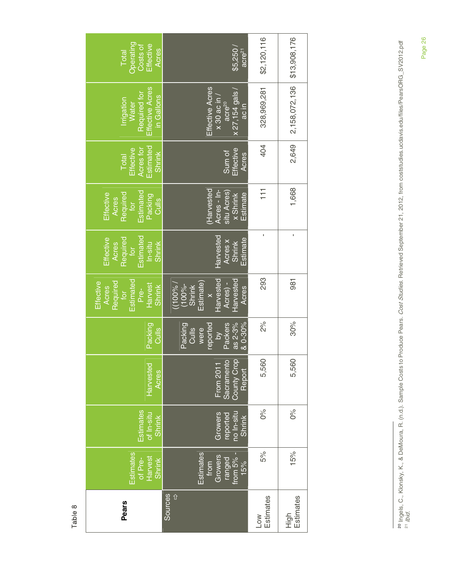| Operating<br>Effective<br>Costs of<br><b>Acres</b><br>Total                                   | \$5,250<br>acre <sup>21</sup>                                                                     | \$2,120,116      | \$13,908,176      |
|-----------------------------------------------------------------------------------------------|---------------------------------------------------------------------------------------------------|------------------|-------------------|
| Effective Acres<br>Required for<br>in Gallons<br><b>Irrigation</b><br><b>Water</b>            | Effective Acres<br>$x 27,154$ gals /<br>$x 30$ ac in<br>acre <sup>20</sup><br>ac in               | 328,969,281      | 2,158,072,136     |
| Estimated<br>Acres for<br>Effective<br><b>Shrink</b><br>Total                                 | Effective<br>Sum of<br>Acres                                                                      | 404              | 2,649             |
| Estimated<br>Required<br>Effective<br>Packing<br>Acres<br>Culls<br>for                        | Harvested<br>Acres - In-<br>situ Acres)<br>Estimate<br><b>x Shrink</b>                            | $\frac{1}{1}$    | 1,668             |
| Estimated<br>Effective<br>Required<br><b>Shrink</b><br>Acres<br>$ln-situ$<br>for              | Harvested<br>Estimate<br>Acres x<br>Shrink                                                        | ı                | ı                 |
| Estimated<br>Required<br>Effective<br><u>Harvest</u><br><b>Shrink</b><br>Acres<br>Pre-<br>for | Harvested<br>Harvested<br>Estimate)<br>Acres) -<br>$\sqrt{9000}$<br>$(100\% -$<br>Shrink<br>Acres | 293              | 981               |
| Packing<br>Culls <sub></sub>                                                                  | $80 - 30\%$<br>as 2-3%<br>reported<br>Packers<br>Packing<br>Culls<br>were<br>$\geq$               | $2\%$            | 30%               |
| Harvested<br>Acres                                                                            | County Crop<br>Sacramento<br>From 2011<br>Report                                                  | 5,560            | 5,560             |
| Estimates<br>of In-situ<br><b>Shrink</b>                                                      | no In-situ<br>Growers<br>reported<br><b>Shrink</b>                                                | $0\%$            | $0\%$             |
| Estimates<br><u>Harvest</u><br>of Pre-<br><b>Shrink</b>                                       | Estimates<br>Growers<br>from $5\%$ .<br>ranged<br>from<br>15%                                     | 5%               | 15%               |
| <b>Pears</b>                                                                                  | <b>Sources</b><br>⇧                                                                               | Estimates<br>Low | Estimates<br>High |

Page 26

Table 8 Table 8

<sup>20</sup> Ingels, C., Klonsky, K., & DeMoura, R. (n.d.). Sample Costs to Produce Pears. Cost Studies. Retrieved September 21, 2012, from coststudies.ucdavis.edu/files/PearsORG\_SV2012.pdf <sup>20</sup> Ingels, C., Klonsky, K., & DeMoura, R. (n.d.). Sample Costs to Produce Pears. *Cost Studies*. Retrieved September 21, 2012, from coststudies.ucdavis.edu/files/PearsORG\_SV2012.pdf<br><sup>21</sup> /b/c/.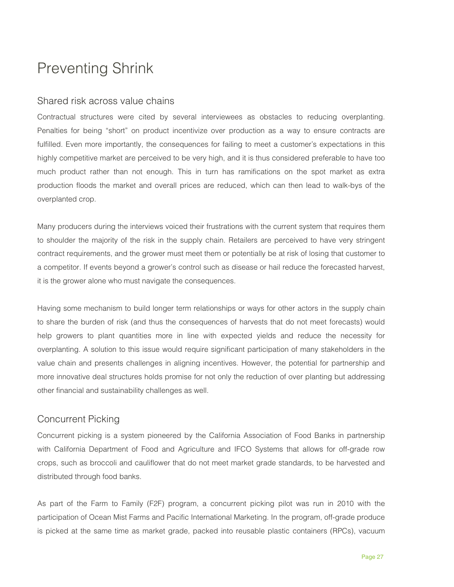# Preventing Shrink

### Shared risk across value chains

Contractual structures were cited by several interviewees as obstacles to reducing overplanting. Penalties for being "short" on product incentivize over production as a way to ensure contracts are fulfilled. Even more importantly, the consequences for failing to meet a customer's expectations in this highly competitive market are perceived to be very high, and it is thus considered preferable to have too much product rather than not enough. This in turn has ramifications on the spot market as extra production floods the market and overall prices are reduced, which can then lead to walk-bys of the overplanted crop.

Many producers during the interviews voiced their frustrations with the current system that requires them to shoulder the majority of the risk in the supply chain. Retailers are perceived to have very stringent contract requirements, and the grower must meet them or potentially be at risk of losing that customer to a competitor. If events beyond a grower's control such as disease or hail reduce the forecasted harvest, it is the grower alone who must navigate the consequences.

Having some mechanism to build longer term relationships or ways for other actors in the supply chain to share the burden of risk (and thus the consequences of harvests that do not meet forecasts) would help growers to plant quantities more in line with expected yields and reduce the necessity for overplanting. A solution to this issue would require significant participation of many stakeholders in the value chain and presents challenges in aligning incentives. However, the potential for partnership and more innovative deal structures holds promise for not only the reduction of over planting but addressing other financial and sustainability challenges as well.

# Concurrent Picking

Concurrent picking is a system pioneered by the California Association of Food Banks in partnership with California Department of Food and Agriculture and IFCO Systems that allows for off-grade row crops, such as broccoli and cauliflower that do not meet market grade standards, to be harvested and distributed through food banks.

As part of the Farm to Family (F2F) program, a concurrent picking pilot was run in 2010 with the participation of Ocean Mist Farms and Pacific International Marketing. In the program, off-grade produce is picked at the same time as market grade, packed into reusable plastic containers (RPCs), vacuum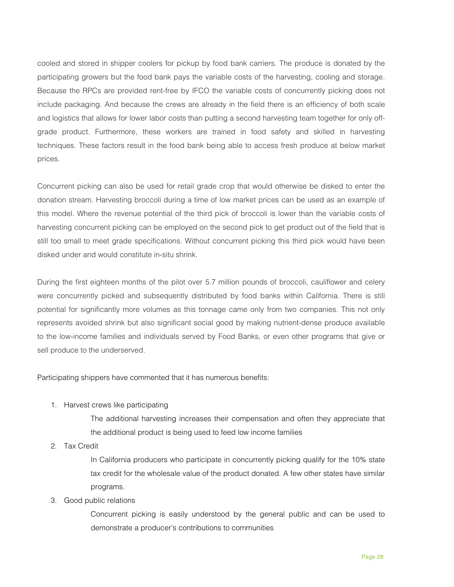cooled and stored in shipper coolers for pickup by food bank carriers. The produce is donated by the participating growers but the food bank pays the variable costs of the harvesting, cooling and storage. Because the RPCs are provided rent-free by IFCO the variable costs of concurrently picking does not include packaging. And because the crews are already in the field there is an efficiency of both scale and logistics that allows for lower labor costs than putting a second harvesting team together for only offgrade product. Furthermore, these workers are trained in food safety and skilled in harvesting techniques. These factors result in the food bank being able to access fresh produce at below market prices.

Concurrent picking can also be used for retail grade crop that would otherwise be disked to enter the donation stream. Harvesting broccoli during a time of low market prices can be used as an example of this model. Where the revenue potential of the third pick of broccoli is lower than the variable costs of harvesting concurrent picking can be employed on the second pick to get product out of the field that is still too small to meet grade specifications. Without concurrent picking this third pick would have been disked under and would constitute in-situ shrink.

During the first eighteen months of the pilot over 5.7 million pounds of broccoli, cauliflower and celery were concurrently picked and subsequently distributed by food banks within California. There is still potential for significantly more volumes as this tonnage came only from two companies. This not only represents avoided shrink but also significant social good by making nutrient-dense produce available to the low-income families and individuals served by Food Banks, or even other programs that give or sell produce to the underserved.

Participating shippers have commented that it has numerous benefits:

#### 1. Harvest crews like participating

The additional harvesting increases their compensation and often they appreciate that the additional product is being used to feed low income families

2. Tax Credit

In California producers who participate in concurrently picking qualify for the 10% state tax credit for the wholesale value of the product donated. A few other states have similar programs.

3. Good public relations

Concurrent picking is easily understood by the general public and can be used to demonstrate a producer's contributions to communities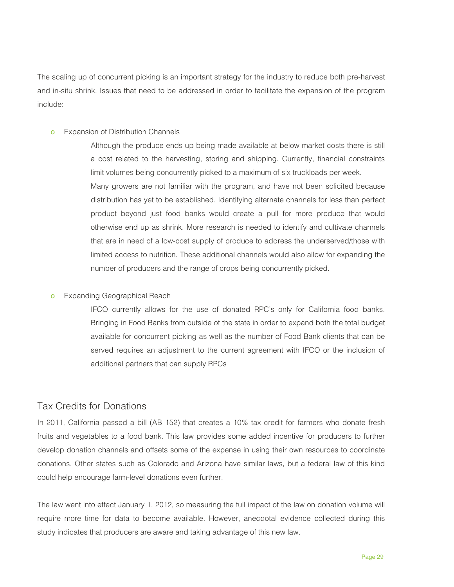The scaling up of concurrent picking is an important strategy for the industry to reduce both pre-harvest and in-situ shrink. Issues that need to be addressed in order to facilitate the expansion of the program include:

**o** Expansion of Distribution Channels

Although the produce ends up being made available at below market costs there is still a cost related to the harvesting, storing and shipping. Currently, financial constraints limit volumes being concurrently picked to a maximum of six truckloads per week. Many growers are not familiar with the program, and have not been solicited because distribution has yet to be established. Identifying alternate channels for less than perfect product beyond just food banks would create a pull for more produce that would otherwise end up as shrink. More research is needed to identify and cultivate channels that are in need of a low-cost supply of produce to address the underserved/those with limited access to nutrition. These additional channels would also allow for expanding the number of producers and the range of crops being concurrently picked.

o Expanding Geographical Reach

IFCO currently allows for the use of donated RPC's only for California food banks. Bringing in Food Banks from outside of the state in order to expand both the total budget available for concurrent picking as well as the number of Food Bank clients that can be served requires an adjustment to the current agreement with IFCO or the inclusion of additional partners that can supply RPCs

# Tax Credits for Donations

In 2011, California passed a bill (AB 152) that creates a 10% tax credit for farmers who donate fresh fruits and vegetables to a food bank. This law provides some added incentive for producers to further develop donation channels and offsets some of the expense in using their own resources to coordinate donations. Other states such as Colorado and Arizona have similar laws, but a federal law of this kind could help encourage farm-level donations even further.

The law went into effect January 1, 2012, so measuring the full impact of the law on donation volume will require more time for data to become available. However, anecdotal evidence collected during this study indicates that producers are aware and taking advantage of this new law.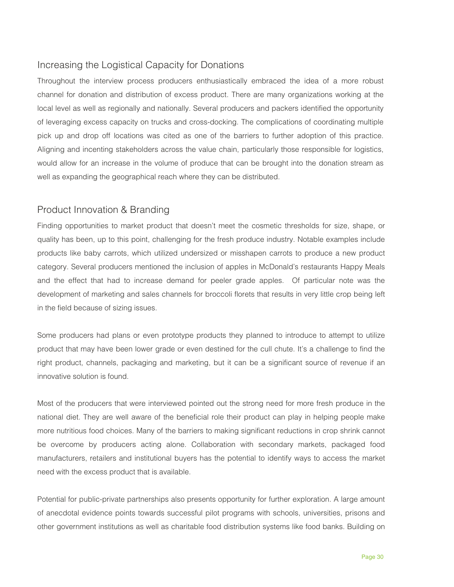# Increasing the Logistical Capacity for Donations

Throughout the interview process producers enthusiastically embraced the idea of a more robust channel for donation and distribution of excess product. There are many organizations working at the local level as well as regionally and nationally. Several producers and packers identified the opportunity of leveraging excess capacity on trucks and cross-docking. The complications of coordinating multiple pick up and drop off locations was cited as one of the barriers to further adoption of this practice. Aligning and incenting stakeholders across the value chain, particularly those responsible for logistics, would allow for an increase in the volume of produce that can be brought into the donation stream as well as expanding the geographical reach where they can be distributed.

# Product Innovation & Branding

Finding opportunities to market product that doesn't meet the cosmetic thresholds for size, shape, or quality has been, up to this point, challenging for the fresh produce industry. Notable examples include products like baby carrots, which utilized undersized or misshapen carrots to produce a new product category. Several producers mentioned the inclusion of apples in McDonald's restaurants Happy Meals and the effect that had to increase demand for peeler grade apples. Of particular note was the development of marketing and sales channels for broccoli florets that results in very little crop being left in the field because of sizing issues.

Some producers had plans or even prototype products they planned to introduce to attempt to utilize product that may have been lower grade or even destined for the cull chute. It's a challenge to find the right product, channels, packaging and marketing, but it can be a significant source of revenue if an innovative solution is found.

Most of the producers that were interviewed pointed out the strong need for more fresh produce in the national diet. They are well aware of the beneficial role their product can play in helping people make more nutritious food choices. Many of the barriers to making significant reductions in crop shrink cannot be overcome by producers acting alone. Collaboration with secondary markets, packaged food manufacturers, retailers and institutional buyers has the potential to identify ways to access the market need with the excess product that is available.

Potential for public-private partnerships also presents opportunity for further exploration. A large amount of anecdotal evidence points towards successful pilot programs with schools, universities, prisons and other government institutions as well as charitable food distribution systems like food banks. Building on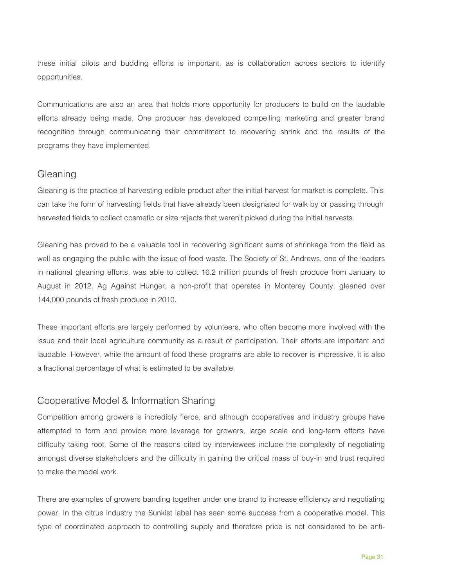these initial pilots and budding efforts is important, as is collaboration across sectors to identify opportunities.

Communications are also an area that holds more opportunity for producers to build on the laudable efforts already being made. One producer has developed compelling marketing and greater brand recognition through communicating their commitment to recovering shrink and the results of the programs they have implemented.

### Gleaning

Gleaning is the practice of harvesting edible product after the initial harvest for market is complete. This can take the form of harvesting fields that have already been designated for walk by or passing through harvested fields to collect cosmetic or size rejects that weren't picked during the initial harvests.

Gleaning has proved to be a valuable tool in recovering significant sums of shrinkage from the field as well as engaging the public with the issue of food waste. The Society of St. Andrews, one of the leaders in national gleaning efforts, was able to collect 16.2 million pounds of fresh produce from January to August in 2012. Ag Against Hunger, a non-profit that operates in Monterey County, gleaned over 144,000 pounds of fresh produce in 2010.

These important efforts are largely performed by volunteers, who often become more involved with the issue and their local agriculture community as a result of participation. Their efforts are important and laudable. However, while the amount of food these programs are able to recover is impressive, it is also a fractional percentage of what is estimated to be available.

# Cooperative Model & Information Sharing

Competition among growers is incredibly fierce, and although cooperatives and industry groups have attempted to form and provide more leverage for growers, large scale and long-term efforts have difficulty taking root. Some of the reasons cited by interviewees include the complexity of negotiating amongst diverse stakeholders and the difficulty in gaining the critical mass of buy-in and trust required to make the model work.

There are examples of growers banding together under one brand to increase efficiency and negotiating power. In the citrus industry the Sunkist label has seen some success from a cooperative model. This type of coordinated approach to controlling supply and therefore price is not considered to be anti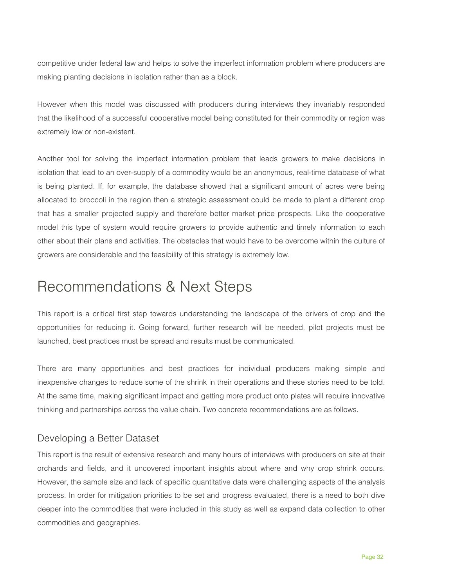competitive under federal law and helps to solve the imperfect information problem where producers are making planting decisions in isolation rather than as a block.

However when this model was discussed with producers during interviews they invariably responded that the likelihood of a successful cooperative model being constituted for their commodity or region was extremely low or non-existent.

Another tool for solving the imperfect information problem that leads growers to make decisions in isolation that lead to an over-supply of a commodity would be an anonymous, real-time database of what is being planted. If, for example, the database showed that a significant amount of acres were being allocated to broccoli in the region then a strategic assessment could be made to plant a different crop that has a smaller projected supply and therefore better market price prospects. Like the cooperative model this type of system would require growers to provide authentic and timely information to each other about their plans and activities. The obstacles that would have to be overcome within the culture of growers are considerable and the feasibility of this strategy is extremely low.

# Recommendations & Next Steps

This report is a critical first step towards understanding the landscape of the drivers of crop and the opportunities for reducing it. Going forward, further research will be needed, pilot projects must be launched, best practices must be spread and results must be communicated.

There are many opportunities and best practices for individual producers making simple and inexpensive changes to reduce some of the shrink in their operations and these stories need to be told. At the same time, making significant impact and getting more product onto plates will require innovative thinking and partnerships across the value chain. Two concrete recommendations are as follows.

# Developing a Better Dataset

This report is the result of extensive research and many hours of interviews with producers on site at their orchards and fields, and it uncovered important insights about where and why crop shrink occurs. However, the sample size and lack of specific quantitative data were challenging aspects of the analysis process. In order for mitigation priorities to be set and progress evaluated, there is a need to both dive deeper into the commodities that were included in this study as well as expand data collection to other commodities and geographies.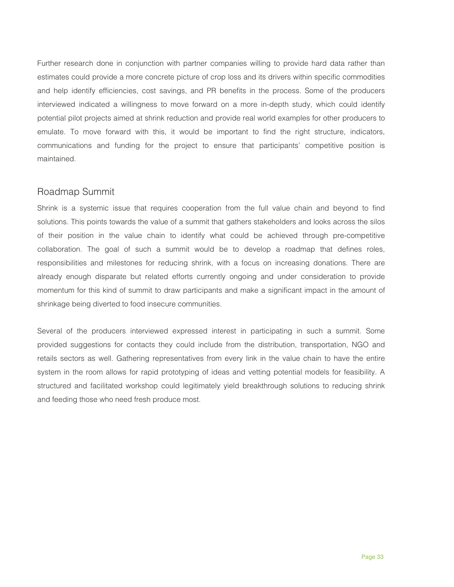Further research done in conjunction with partner companies willing to provide hard data rather than estimates could provide a more concrete picture of crop loss and its drivers within specific commodities and help identify efficiencies, cost savings, and PR benefits in the process. Some of the producers interviewed indicated a willingness to move forward on a more in-depth study, which could identify potential pilot projects aimed at shrink reduction and provide real world examples for other producers to emulate. To move forward with this, it would be important to find the right structure, indicators, communications and funding for the project to ensure that participants' competitive position is maintained.

#### Roadmap Summit

Shrink is a systemic issue that requires cooperation from the full value chain and beyond to find solutions. This points towards the value of a summit that gathers stakeholders and looks across the silos of their position in the value chain to identify what could be achieved through pre-competitive collaboration. The goal of such a summit would be to develop a roadmap that defines roles, responsibilities and milestones for reducing shrink, with a focus on increasing donations. There are already enough disparate but related efforts currently ongoing and under consideration to provide momentum for this kind of summit to draw participants and make a significant impact in the amount of shrinkage being diverted to food insecure communities.

Several of the producers interviewed expressed interest in participating in such a summit. Some provided suggestions for contacts they could include from the distribution, transportation, NGO and retails sectors as well. Gathering representatives from every link in the value chain to have the entire system in the room allows for rapid prototyping of ideas and vetting potential models for feasibility. A structured and facilitated workshop could legitimately yield breakthrough solutions to reducing shrink and feeding those who need fresh produce most.